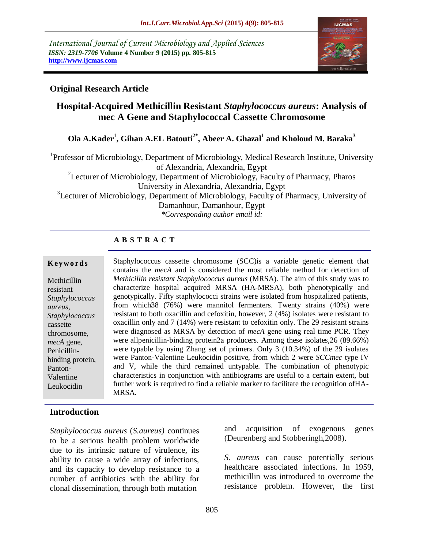*International Journal of Current Microbiology and Applied Sciences ISSN: 2319-7706* **Volume 4 Number 9 (2015) pp. 805-815 http://www.ijcmas.com** 



## **Original Research Article**

# **Hospital-Acquired Methicillin Resistant** *Staphylococcus aureus***: Analysis of mec A Gene and Staphylococcal Cassette Chromosome**

**Ola A.Kader<sup>1</sup> , Gihan A.EL Batouti2\* , Abeer A. Ghazal<sup>1</sup> and Kholoud M. Baraka<sup>3</sup>**

<sup>1</sup>Professor of Microbiology, Department of Microbiology, Medical Research Institute, University of Alexandria, Alexandria, Egypt <sup>2</sup>Lecturer of Microbiology, Department of Microbiology, Faculty of Pharmacy, Pharos University in Alexandria, Alexandria, Egypt <sup>3</sup>Lecturer of Microbiology, Department of Microbiology, Faculty of Pharmacy, University of Damanhour, Damanhour, Egypt *\*Corresponding author email id:* 

## **A B S T R A C T**

#### **K ey w o rd s**

Methicillin resistant *Staphylococcus aureus, Staphylococcus*  cassette chromosome, *mecA* gene, Penicillinbinding protein, Panton-Valentine Leukocidin

Staphylococcus cassette chromosome (SCC)is a variable genetic element that contains the *mecA* and is considered the most reliable method for detection of *Methicillin resistant Staphylococcus aureus* (MRSA). The aim of this study was to characterize hospital acquired MRSA (HA-MRSA), both phenotypically and genotypically. Fifty staphylococci strains were isolated from hospitalized patients, from which38 (76%) were mannitol fermenters. Twenty strains (40%) were resistant to both oxacillin and cefoxitin, however, 2 (4%) isolates were resistant to oxacillin only and 7 (14%) were resistant to cefoxitin only. The 29 resistant strains were diagnosed as MRSA by detection of *mecA* gene using real time PCR. They were allpenicillin-binding protein2a producers. Among these isolates,26 (89.66%) were typable by using Zhang set of primers. Only 3 (10.34%) of the 29 isolates were Panton-Valentine Leukocidin positive, from which 2 were *SCCmec* type IV and V, while the third remained untypable. The combination of phenotypic characteristics in conjunction with antibiograms are useful to a certain extent, but further work is required to find a reliable marker to facilitate the recognition ofHA-MRSA.

## **Introduction**

*Staphylococcus aureus* (*S.aureus)* continues to be a serious health problem worldwide due to its intrinsic nature of virulence, its ability to cause a wide array of infections, and its capacity to develop resistance to a number of antibiotics with the ability for clonal dissemination, through both mutation

and acquisition of exogenous genes (Deurenberg and Stobberingh,2008).

*S. aureus* can cause potentially serious healthcare associated infections. In 1959, methicillin was introduced to overcome the resistance problem. However, the first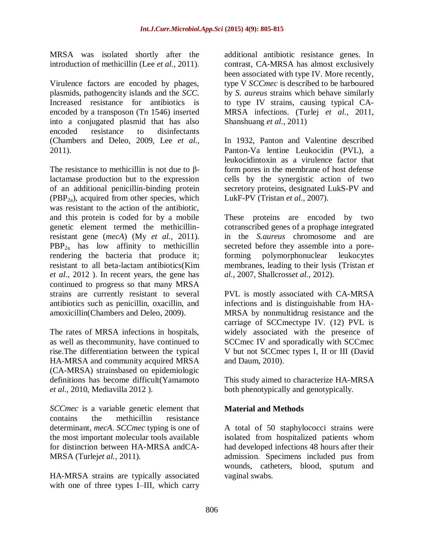MRSA was isolated shortly after the introduction of methicillin (Lee *et al.,* 2011).

Virulence factors are encoded by phages, plasmids, pathogencity islands and the *SCC*. Increased resistance for antibiotics is encoded by a transposon (Tn 1546) inserted into a conjugated plasmid that has also encoded resistance to disinfectants (Chambers and Deleo, 2009, Lee *et al.,* 2011).

The resistance to methicillin is not due to βlactamase production but to the expression of an additional penicillin-binding protein  $(PBP<sub>2a</sub>)$ , acquired from other species, which was resistant to the action of the antibiotic, and this protein is coded for by a mobile genetic element termed the methicillinresistant gene (*mecA*) (My *et al.,* 2011).  $PBP_{2a}$  has low affinity to methicillin rendering the bacteria that produce it; resistant to all beta-lactam antibiotics(Kim *et al.,* 2012 ). In recent years, the gene has continued to progress so that many MRSA strains are currently resistant to several antibiotics such as penicillin, oxacillin, and [amoxicillin\(](http://www.medicinenet.com/script/main/art.asp?articlekey=692)Chambers and Deleo, 2009).

The rates of MRSA infections in hospitals, as well as thecommunity, have continued to rise.The differentiation between the typical HA-MRSA and community acquired MRSA (CA-MRSA) strainsbased on epidemiologic definitions has become difficult(Yamamoto *et al.,* 2010, Mediavilla 2012 ).

*SCCmec* is a variable genetic element that contains the methicillin resistance determinant, *mecA*. *SCCmec* typing is one of the most important molecular tools available for distinction between HA-MRSA andCA-MRSA (Turlej*et al.,* 2011).

HA-MRSA strains are typically associated with one of three types I–III, which carry additional antibiotic resistance genes. In contrast, CA-MRSA has almost exclusively been associated with type IV. More recently, type V *SCCmec* is described to be harboured by *S. aureus* strains which behave similarly to type IV strains, causing typical CA-MRSA infections. (Turlej *et al.,* 2011, Shanshuang *et al.,* 2011)

In 1932, Panton and Valentine described Panton-Va lentine Leukocidin (PVL), a leukocidintoxin as a virulence factor that form pores in the membrane of host defense cells by the synergistic action of two secretory proteins, designated LukS-PV and LukF-PV (Tristan *et al.,* 2007).

These proteins are encoded by two cotranscribed genes of a prophage integrated in the *S.aureus* chromosome and are secreted before they assemble into a poreforming polymorphonuclear leukocytes membranes, leading to their lysis (Tristan *et al.,* 2007, Shallcross*et al.,* 2012).

PVL is mostly associated with CA-MRSA infections and is distinguishable from HA-MRSA by nonmultidrug resistance and the carriage of SCCmectype IV. (12) PVL is widely associated with the presence of SCCmec IV and sporadically with SCCmec V but not SCCmec types I, II or III [\(David](http://cmr.asm.org/search?author1=Michael+Z.+David&sortspec=date&submit=Submit) and [Daum,](http://cmr.asm.org/search?author1=Robert+S.+Daum&sortspec=date&submit=Submit) 2010).

This study aimed to characterize HA-MRSA both phenotypically and genotypically.

## **Material and Methods**

A total of 50 staphylococci strains were isolated from hospitalized patients whom had developed infections 48 hours after their admission. Specimens included pus from wounds, catheters, blood, sputum and vaginal swabs.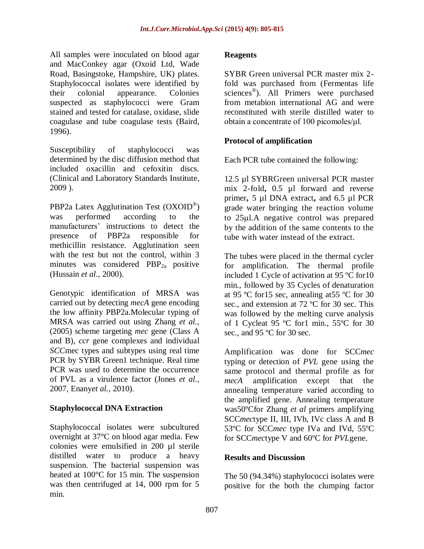All samples were inoculated on blood agar and MacConkey agar (Oxoid Ltd, Wade Road, Basingstoke, Hampshire, UK) plates. Staphylococcal isolates were identified by their colonial appearance. Colonies suspected as staphylococci were Gram stained and tested for catalase, oxidase, slide coagulase and tube coagulase tests (Baird, 1996).

Susceptibility of staphylococci was determined by the disc diffusion method that included oxacillin and cefoxitin discs. (Clinical and Laboratory Standards Institute, 2009 ).

PBP2a Latex Agglutination Test  $(OX O ID^{\circledcirc})$ was performed according to the manufacturers' instructions to detect the presence of PBP2a responsible for methicillin resistance. Agglutination seen with the test but not the control, within 3 minutes was considered PBP<sub>2a</sub> positive (Hussain *et al.,* 2000).

Genotypic identification of MRSA was carried out by detecting *mecA* gene encoding the low affinity PBP2a.Molecular typing of MRSA was carried out using Zhang *et al.,* (2005) scheme targeting *mec* gene (Class A and B), *ccr* gene complexes and individual *SCC*mec types and subtypes using real time PCR by SYBR Green1 technique. Real time PCR was used to determine the occurrence of PVL as a virulence factor (Jones *et al.,* 2007, Enany*et al.,* 2010).

## **Staphylococcal DNA Extraction**

Staphylococcal isolates were subcultured overnight at 37°C on blood agar media. Few colonies were emulsified in 200 µl sterile distilled water to produce a heavy suspension. The bacterial suspension was heated at 100°C for 15 min. The suspension was then centrifuged at 14, 000 rpm for 5 min.

#### **Reagents**

SYBR Green universal PCR master mix 2 fold was purchased from (Fermentas life sciences<sup>®</sup>). All Primers were purchased from metabion international AG and were reconstituted with sterile distilled water to obtain a concentrate of 100 picomoles/μl.

## **Protocol of amplification**

Each PCR tube contained the following:

12.5 µl SYBRGreen universal PCR master mix 2-fold**,** 0.5 µl forward and reverse primer**,** 5 µl DNA extract**,** and 6.5 µl PCR grade water bringing the reaction volume to 25ul.A negative control was prepared by the addition of the same contents to the tube with water instead of the extract.

The tubes were placed in the thermal cycler for amplification. The thermal profile included 1 Cycle of activation at 95 ºC for10 min., followed by 35 Cycles of denaturation at 95 ºC for15 sec, annealing at55 ºC for 30 sec., and extension at 72 ºC for 30 sec. This was followed by the melting curve analysis of 1 Cycleat 95 ºC for1 min., 55ºC for 30 sec., and 95 °C for 30 sec.

Amplification was done for SCC*mec* typing or detection of *PVL* gene using the same protocol and thermal profile as for *mecA* amplification except that the annealing temperature varied according to the amplified gene. Annealing temperature was50ºCfor Zhang *et al* primers amplifying SCC*mec*type II, III, IVb, IVc class A and B 53ºC for SCC*mec* type IVa and IVd, 55ºC for SCC*mec*type V and 60ºC for *PVL*gene.

## **Results and Discussion**

The 50 (94.34%) staphylococci isolates were positive for the both the clumping factor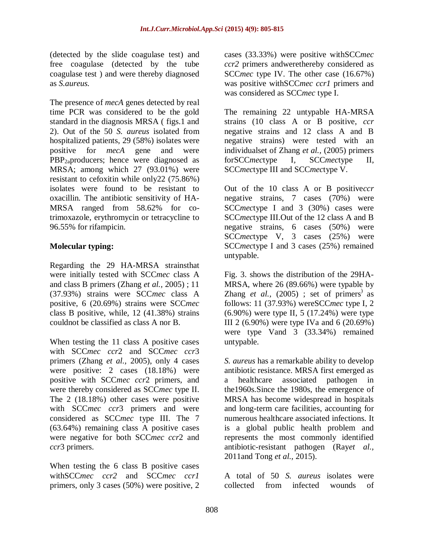(detected by the slide coagulase test) and free coagulase (detected by the tube coagulase test ) and were thereby diagnosed as *S.aureus.*

The presence of *mecA* genes detected by real time PCR was considered to be the gold standard in the diagnosis MRSA ( figs.1 and 2). Out of the 50 *S. aureus* isolated from hospitalized patients, 29 (58%) isolates were positive for *mecA* gene and were PBP2aproducers; hence were diagnosed as MRSA; among which 27 (93.01%) were resistant to cefoxitin while only22 (75.86%) isolates were found to be resistant to oxacillin. The antibiotic sensitivity of HA-MRSA ranged from 58.62% for cotrimoxazole, erythromycin or tetracycline to 96.55% for rifampicin.

## **Molecular typing:**

Regarding the 29 HA-MRSA strainsthat were initially tested with SCC*mec* class A and class B primers (Zhang *et al.,* 2005) ; 11 (37.93%) strains were SCC*mec* class A positive, 6 (20.69%) strains were SCC*mec* class B positive, while, 12 (41.38%) strains couldnot be classified as class A nor B.

When testing the 11 class A positive cases with SCC*mec ccr*2 and SCC*mec ccr*3 primers (Zhang *et al.,* 2005), only 4 cases were positive: 2 cases (18.18%) were positive with SCC*mec ccr*2 primers, and were thereby considered as SCC*mec* type II. The 2 (18.18%) other cases were positive with SCC*mec ccr*3 primers and were considered as SCC*mec* type III. The 7 (63.64%) remaining class A positive cases were negative for both SCC*mec ccr*2 and *ccr*3 primers.

When testing the 6 class B positive cases withSCC*mec ccr2* and SCC*mec ccr1* primers, only 3 cases (50%) were positive, 2 cases (33.33%) were positive withSCC*mec ccr2* primers andwerethereby considered as SCC*mec* type IV. The other case (16.67%) was positive withSCC*mec ccr1* primers and was considered as SCC*mec* type I.

The remaining 22 untypable HA-MRSA strains (10 class A or B positive, *ccr* negative strains and 12 class A and B negative strains) were tested with an individualset of Zhang *et al.,* (2005) primers forSCC*mec*type I*,* SCC*mec*type II, SCC*mec*type III and SCC*mec*type V.

Out of the 10 class A or B positive*ccr* negative strains, 7 cases (70%) were SCC*mec*type I and 3 (30%) cases were SCC*mec*type III.Out of the 12 class A and B negative strains, 6 cases (50%) were SCC*mec*type V, 3 cases (25%) were SCC*mec*type I and 3 cases (25%) remained untypable.

Fig. 3. shows the distribution of the 29HA-MRSA, where 26 (89.66%) were typable by Zhang *et al.*,  $(2005)$ ; set of primers<sup>)</sup> as follows: 11 (37.93%) wereSCC*mec* type I, 2 (6.90%) were type II, 5 (17.24%) were type III 2 (6.90%) were type IVa and 6 (20.69%) were type Vand 3 (33.34%) remained untypable.

*S. aureus* has a remarkable ability to develop antibiotic resistance. MRSA first emerged as a healthcare associated pathogen in the1960s.Since the 1980s, the emergence of MRSA has become widespread in hospitals and long-term care facilities, accounting for numerous healthcare associated infections. It is a global public health problem and represents the most commonly identified antibiotic-resistant pathogen (Ray*et al.,* 2011and Tong *et al.,* 2015).

A total of 50 *S. aureus* isolates were collected from infected wounds of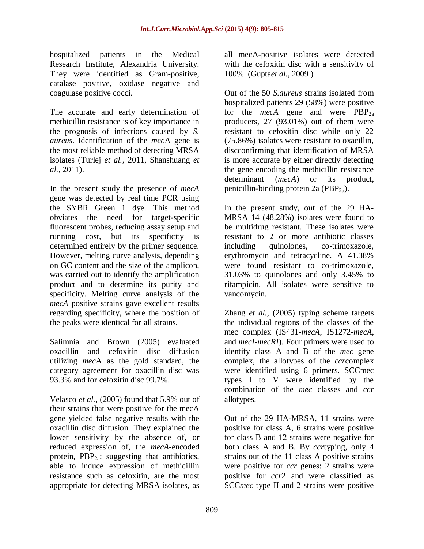hospitalized patients in the Medical Research Institute, Alexandria University. They were identified as Gram-positive, catalase positive, oxidase negative and coagulase positive cocci.

The accurate and early determination of methicillin resistance is of key importance in the prognosis of infections caused by *S. aureus*. Identification of the *mec*A gene is the most reliable method of detecting MRSA isolates (Turlej *et al.,* 2011, Shanshuang *et al.,* 2011).

In the present study the presence of *mecA* gene was detected by real time PCR using the SYBR Green 1 dye. This method obviates the need for target-specific fluorescent probes, reducing assay setup and running cost, but its specificity is determined entirely by the primer sequence. However, melting curve analysis, depending on GC content and the size of the amplicon, was carried out to identify the amplification product and to determine its purity and specificity. Melting curve analysis of the *mecA* positive strains gave excellent results regarding specificity, where the position of the peaks were identical for all strains.

Salimnia and Brown (2005) evaluated oxacillin and cefoxitin disc diffusion utilizing *mec*A as the gold standard, the category agreement for oxacillin disc was 93.3% and for cefoxitin disc 99.7%.

Velasco *et al.,* (2005) found that 5.9% out of their strains that were positive for the mecA gene yielded false negative results with the oxacillin disc diffusion. They explained the lower sensitivity by the absence of, or reduced expression of, the *mecA*-encoded protein,  $PBP_{2a}$ ; suggesting that antibiotics, able to induce expression of methicillin resistance such as cefoxitin, are the most appropriate for detecting MRSA isolates, as

all mecA-positive isolates were detected with the cefoxitin disc with a sensitivity of 100%. (Gupta*et al.,* 2009 )

Out of the 50 *S.aureus* strains isolated from hospitalized patients 29 (58%) were positive for the *mecA* gene and were  $PBP_{2a}$ producers, 27 (93.01%) out of them were resistant to cefoxitin disc while only 22 (75.86%) isolates were resistant to oxacillin, discconfirming that identification of MRSA is more accurate by either directly detecting the gene encoding the methicillin resistance determinant (*mecA*) or its product, penicillin-binding protein 2a (PBP $_{2a}$ ).

In the present study, out of the 29 HA-MRSA 14 (48.28%) isolates were found to be multidrug resistant. These isolates were resistant to 2 or more antibiotic classes including quinolones, co-trimoxazole, erythromycin and tetracycline. A 41.38% were found resistant to co-trimoxazole, 31.03% to quinolones and only 3.45% to rifampicin. All isolates were sensitive to vancomycin.

Zhang *et al.,* (2005) typing scheme targets the individual regions of the classes of the mec complex (IS431-*mecA*, IS1272-*mecA*, and *mecI*-*mecRI*). Four primers were used to identify class A and B of the *mec* gene complex, the allotypes of the *ccr*complex were identified using 6 primers. SCCmec types I to V were identified by the combination of the *mec* classes and *ccr* allotypes.

Out of the 29 HA-MRSA, 11 strains were positive for class A, 6 strains were positive for class B and 12 strains were negative for both class A and B. By *ccr*typing, only 4 strains out of the 11 class A positive strains were positive for *ccr* genes: 2 strains were positive for *ccr*2 and were classified as SCC*mec* type II and 2 strains were positive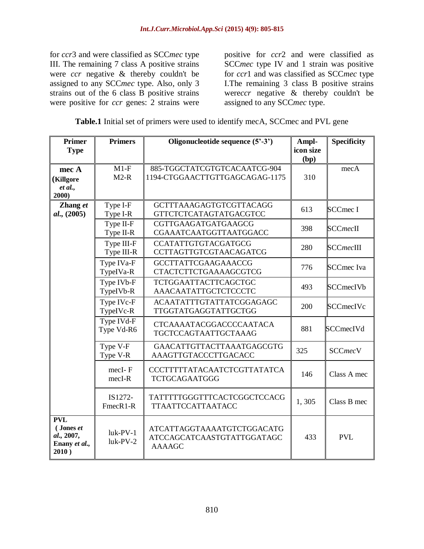for *ccr*3 and were classified as SCC*mec* type III. The remaining 7 class A positive strains were *ccr* negative & thereby couldn't be assigned to any SCC*mec* type. Also, only 3 strains out of the 6 class B positive strains were positive for *ccr* genes: 2 strains were

positive for *ccr*2 and were classified as SCC*mec* type IV and 1 strain was positive for *ccr*1 and was classified as SCC*mec* type I.The remaining 3 class B positive strains were*ccr* negative & thereby couldn't be assigned to any SCC*mec* type.

| <b>Table.1</b> Initial set of primers were used to identify mecA, SCC mec and PVL gene |  |
|----------------------------------------------------------------------------------------|--|
|----------------------------------------------------------------------------------------|--|

| <b>Primer</b><br><b>Type</b>                                    | <b>Primers</b>           | Oligonucleotide sequence (5'-3')                                                 | Ampl-<br>icon size | <b>Specificity</b> |
|-----------------------------------------------------------------|--------------------------|----------------------------------------------------------------------------------|--------------------|--------------------|
|                                                                 |                          |                                                                                  | (bp)               |                    |
| mec A                                                           | $M1-F$                   | 885-TGGCTATCGTGTCACAATCG-904                                                     |                    | mecA               |
| (Killgore                                                       | $M2-R$                   | 1194-CTGGAACTTGTTGAGCAGAG-1175                                                   | 310                |                    |
| et al.,<br>2000)                                                |                          |                                                                                  |                    |                    |
| Zhang et                                                        | Type I-F                 | <b>GCTTTAAAGAGTGTCGTTACAGG</b>                                                   | 613                | <b>SCCmec I</b>    |
| al., (2005)                                                     | Type I-R                 | GTTCTCTCATAGTATGACGTCC                                                           |                    |                    |
|                                                                 | Type II-F<br>Type II-R   | CGTTGAAGATGATGAAGCG<br>CGAAATCAATGGTTAATGGACC                                    | 398                | <b>SCCmecII</b>    |
|                                                                 | Type III-F<br>Type III-R | <b>CCATATTGTGTACGATGCG</b><br>CCTTAGTTGTCGTAACAGATCG                             | 280                | SCCmecIII          |
|                                                                 | Type IVa-F<br>TypeIVa-R  | <b>GCCTTATTCGAAGAAACCG</b><br>CTACTCTTCTGAAAAGCGTCG                              | 776                | <b>SCCmec Iva</b>  |
|                                                                 | Type IVb-F<br>TypeIVb-R  | <b>TCTGGAATTACTTCAGCTGC</b><br>AAACAATATTGCTCTCCCTC                              | 493                | <b>SCCmecIVb</b>   |
|                                                                 | Type IVc-F<br>TypeIVc-R  | <b>ACAATATTTGTATTATCGGAGAGC</b><br>TTGGTATGAGGTATTGCTGG                          | 200                | <b>SCCmecIVc</b>   |
|                                                                 | Type IVd-F<br>Type Vd-R6 | <b>CTCAAAATACGGACCCCAATACA</b><br>TGCTCCAGTAATTGCTAAAG                           | 881                | <b>SCCmecIVd</b>   |
|                                                                 | Type V-F<br>Type V-R     | GAACATTGTTACTTAAATGAGCGTG<br>AAAGTTGTACCCTTGACACC                                | 325                | <b>SCCmecV</b>     |
|                                                                 | $mecl$ -F<br>mecI-R      | <b>CCCTTTTTATACAATCTCGTTATATCA</b><br>TCTGCAGAATGGG                              | 146                | Class A mec        |
|                                                                 | IS1272-<br>FmecR1-R      | TATTTTTGGGTTTCACTCGGCTCCACG<br><b>TTAATTCCATTAATACC</b>                          | 1,305              | Class B mec        |
| <b>PVL</b><br>(Jones et<br>al., 2007,<br>Enany et al.,<br>2010) | $luk-PV-1$<br>$luk-PV-2$ | <b>ATCATTAGGTAAAATGTCTGGACATG</b><br>ATCCAGCATCAASTGTATTGGATAGC<br><b>AAAAGC</b> | 433                | <b>PVL</b>         |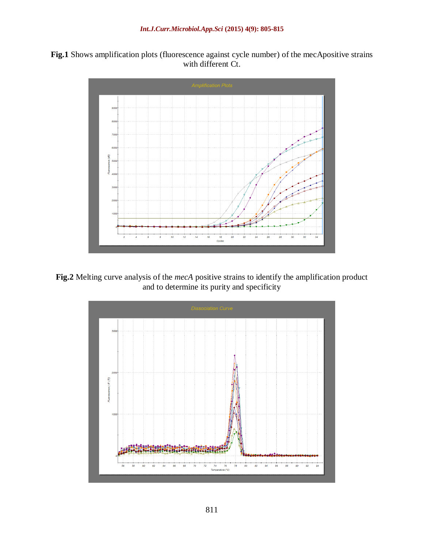



**Fig.2** Melting curve analysis of the *mecA* positive strains to identify the amplification product and to determine its purity and specificity

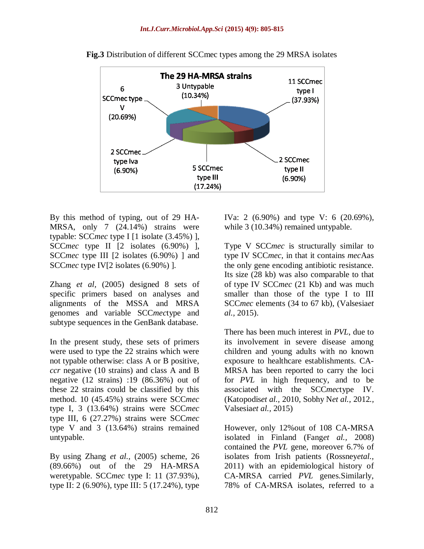

**Fig.3** Distribution of different SCCmec types among the 29 MRSA isolates

By this method of typing, out of 29 HA-MRSA, only 7 (24.14%) strains were typable: SCC*mec* type I [1 isolate (3.45%) ], SCC*mec* type II [2 isolates (6.90%) ], SCC*mec* type III [2 isolates (6.90%) ] and SCC*mec* type IV[2 isolates (6.90%) ].

Zhang *et al,* (2005) designed 8 sets of specific primers based on analyses and alignments of the MSSA and MRSA genomes and variable SCC*mec*type and subtype sequences in the GenBank database.

In the present study, these sets of primers were used to type the 22 strains which were not typable otherwise: class A or B positive, *ccr* negative (10 strains) and class A and B negative (12 strains) :19 (86.36%) out of these 22 strains could be classified by this method. 10 (45.45%) strains were SCC*mec* type I, 3 (13.64%) strains were SCC*mec* type III, 6 (27.27%) strains were SCC*mec* type V and 3 (13.64%) strains remained untypable.

By using Zhang *et al.,* (2005) scheme, 26 (89.66%) out of the 29 HA-MRSA weretypable. SCC*mec* type I: 11 (37.93%), type II: 2 (6.90%), type III: 5 (17.24%), type

IVa: 2 (6.90%) and type V: 6 (20.69%), while 3 (10.34%) remained untypable.

Type V SCC*mec* is structurally similar to type IV SCC*mec*, in that it contains *mec*Aas the only gene encoding antibiotic resistance. Its size (28 kb) was also comparable to that of type IV SCC*mec* (21 Kb) and was much smaller than those of the type I to III SCC*mec* elements (34 to 67 kb), (Valsesia*et al.,* 2015).

There has been much interest in *PVL*, due to its involvement in severe disease among children and young adults with no known exposure to healthcare establishments. CA-MRSA has been reported to carry the loci for *PVL* in high frequency, and to be associated with the SCC*mec*type IV. (Katopodis*et al.,* 2010, Sobhy N*et al.,* 2012*.,*  Valsesia*et al.,* 2015)

However, only 12%out of 108 CA-MRSA isolated in Finland (Fang*et al.,* 2008) contained the *PVL* gene, moreover 6.7% of isolates from Irish patients (Rossney*etal.,*  2011) with an epidemiological history of CA-MRSA carried *PVL* genes.Similarly, 78% of CA-MRSA isolates, referred to a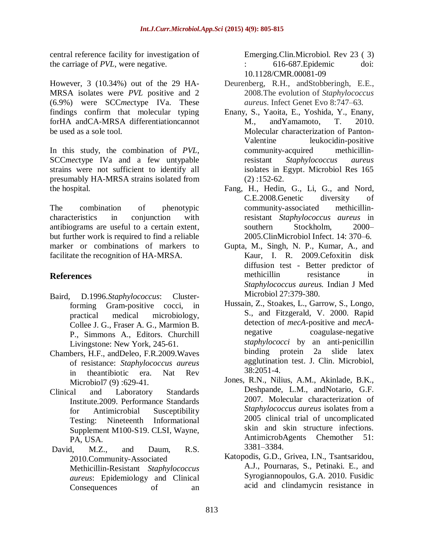central reference facility for investigation of the carriage of *PVL*, were negative.

However, 3 (10.34%) out of the 29 HA-MRSA isolates were *PVL* positive and 2 (6.9%) were SCC*mec*type IVa. These findings confirm that molecular typing forHA andCA-MRSA differentiationcannot be used as a sole tool.

In this study, the combination of *PVL*, SCC*mec*type IVa and a few untypable strains were not sufficient to identify all presumably HA-MRSA strains isolated from the hospital.

The combination of phenotypic characteristics in conjunction with antibiograms are useful to a certain extent, but further work is required to find a reliable marker or combinations of markers to facilitate the recognition of HA-MRSA.

# **References**

- Baird, D.1996.*Staphylococcus*: Clusterforming Gram-positive cocci, in practical medical microbiology, Collee J. G., Fraser A. G., Marmion B. P., Simmons A., Editors. Churchill Livingstone: New York, 245-61.
- Chambers, H.F., andDeleo, F.R.2009.Waves of resistance: *Staphylococcus aureus* in theantibiotic era. Nat Rev Microbiol7 (9):629-41.
- Clinical and Laboratory Standards Institute.2009. Performance Standards for Antimicrobial Susceptibility Testing: Nineteenth Informational Supplement M100-S19. CLSI, Wayne, PA, USA.
- [David,](http://cmr.asm.org/search?author1=Michael+Z.+David&sortspec=date&submit=Submit) M.Z., and [Daum,](http://cmr.asm.org/search?author1=Robert+S.+Daum&sortspec=date&submit=Submit) R.S. 2010.Community-Associated Methicillin-Resistant *Staphylococcus aureus*: Epidemiology and Clinical Consequences of an

Emerging.Clin.Microbiol. Rev 23 ( 3) : 616-687.Epidemic doi: 10.1128/CMR.00081-09

- Deurenberg, R.H., andStobberingh, E.E., 2008.The evolution of *Staphylococcus aureus*. Infect Genet Evo 8:747*–*63.
- Enany, S., Yaoita, E., Yoshida, Y., Enany, M., andYamamoto, T. 2010. Molecular characterization of Panton-Valentine leukocidin-positive community-acquired methicillinresistant *Staphylococcus aureus* isolates in Egypt. Microbiol Res 165 (2) :152-62.
- Fang, H., Hedin, G., Li, G., and Nord, C.E.2008.Genetic diversity of community-associated methicillinresistant *Staphylococcus aureus* in southern Stockholm, 2000– 2005.ClinMicrobiol Infect. 14: 370–6.
- Gupta, M., Singh, N. P., Kumar, A., and Kaur, I. R. 2009.Cefoxitin disk diffusion test - Better predictor of methicillin resistance in *Staphylococcus aureus.* Indian J Med Microbiol 27:379-380.
- Hussain, Z., Stoakes, L., Garrow, S., Longo, S., and Fitzgerald, V. 2000. Rapid detection of *mecA*-positive and *mecA*negative coagulase-negative *staphylococci* by an anti-penicillin binding protein 2a slide latex agglutination test. J. Clin. Microbiol, 38:2051-4.
- Jones, R.N., Nilius, A.M., Akinlade, B.K., Deshpande, L.M., andNotario, G.F. 2007. Molecular characterization of *Staphylococcus aureus* isolates from a 2005 clinical trial of uncomplicated skin and skin structure infections. AntimicrobAgents Chemother 51: 3381–3384.
- Katopodis, G.D., Grivea, I.N., Tsantsaridou, A.J., Pournaras, S., Petinaki. E., and Syrogiannopoulos, G.A. 2010. Fusidic acid and clindamycin resistance in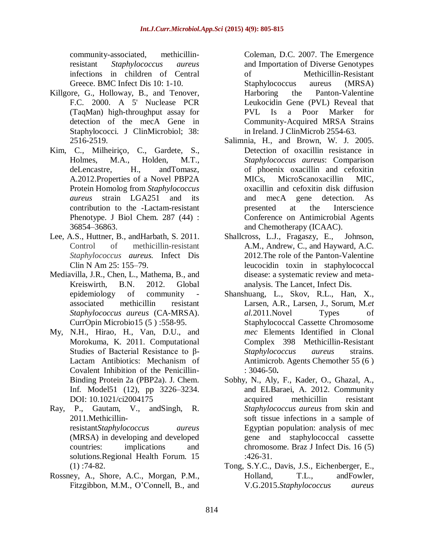community-associated, methicillinresistant *Staphylococcus aureus* infections in children of Central Greece. BMC Infect Dis 10: 1-10.

- Killgore, G., Holloway, B., and Tenover, F.C. 2000. A 5' Nuclease PCR (TaqMan) high-throughput assay for detection of the mecA Gene in Staphylococci. J ClinMicrobiol; 38: 2516-2519.
- Kim, C., Milheiriço, C., Gardete, S., Holmes, M.A., Holden, M.T., deLencastre, H., andTomasz, A.2012.Properties of a Novel PBP2A Protein Homolog from *Staphylococcus aureus* strain LGA251 and its contribution to the -Lactam-resistant Phenotype. J Biol Chem. 287 (44) : 36854–36863.
- Lee, A.S., Huttner, B., andHarbath, S. 2011. Control of methicillin-resistant *Staphylococcus aureus.* Infect Dis Clin N Am 25: 155–79.
- Mediavilla, J.R., Chen, L., Mathema, B., and Kreiswirth, B.N. 2012. Global epidemiology of community associated methicillin resistant *Staphylococcus aureus* (CA-MRSA). CurrOpin Microbio15 (5 ) :558-95.
- My, N.H., Hirao, H., Van, D.U., and [Morokuma,](http://pubs.acs.org/action/doSearch?ContribStored=Morokuma%2C+K) K. 2011. Computational Studies of Bacterial Resistance to β-Lactam Antibiotics: Mechanism of Covalent Inhibition of the Penicillin-Binding Protein 2a (PBP2a). J. Chem. Inf. Model51 (12), pp 3226–3234. DOI: 10.1021/ci2004175
- Ray, P., Gautam, V., andSingh, R. 2011.Methicillinresistant*Staphylococcus aureus* (MRSA) in developing and developed countries: implications and solutions.Regional Health Forum. 15  $(1)$ :74-82.
- Rossney, A., Shore, A.C., Morgan, P.M., Fitzgibbon, M.M., O'Connell, B., and

Coleman, D.C. 2007. The Emergence and Importation of Diverse Genotypes of Methicillin-Resistant Staphylococcus aureus (MRSA) Harboring the Panton-Valentine Leukocidin Gene (PVL) Reveal that PVL Is a Poor Marker for Community-Acquired MRSA Strains in Ireland. J ClinMicrob 2554-63.

- Salimnia, H., and Brown, W. J. 2005. Detection of oxacillin resistance in *Staphylococcus aureus*: Comparison of phoenix oxacillin and cefoxitin MICs, MicroScanoxacillin MIC, oxacillin and cefoxitin disk diffusion and mecA gene detection. As presented at the Interscience Conference on Antimicrobial Agents and Chemotherapy (ICAAC).
- [Shallcross,](javascript:void(0);) L.J., [Fragaszy,](javascript:void(0);) E., [Johnson,](javascript:void(0);) A.M., [Andrew, C., and](javascript:void(0);) Hayward, A.C. 2012.The role of the Panton-Valentine leucocidin toxin in staphylococcal disease: a systematic review and metaanalysis. The Lancet, Infect Dis.
- Shanshuang, L., Skov, R.L., Han, X., Larsen, A.R., Larsen, J., Sorum, M.*et al.*2011.Novel Types of Staphylococcal Cassette Chromosome *mec* Elements Identified in Clonal Complex 398 Methicillin-Resistant *Staphylococcus aureus* strains. Antimicrob. Agents Chemother 55 (6 ) : 3046-50**.**
- Sobhy, N., Aly, F., Kader, O., Ghazal, A., and ELBaraei, A. 2012. Community acquired methicillin resistant *Staphylococcus aureus* from skin and soft tissue infections in a sample of Egyptian population: analysis of mec gene and staphylococcal cassette chromosome. Braz J Infect Dis. 16 (5) :426-31.
- Tong, S.Y.C., Davis, J.S., Eichenberger, E., Holland, T.L., andFowler, V.G.2015.*Staphylococcus aureus*